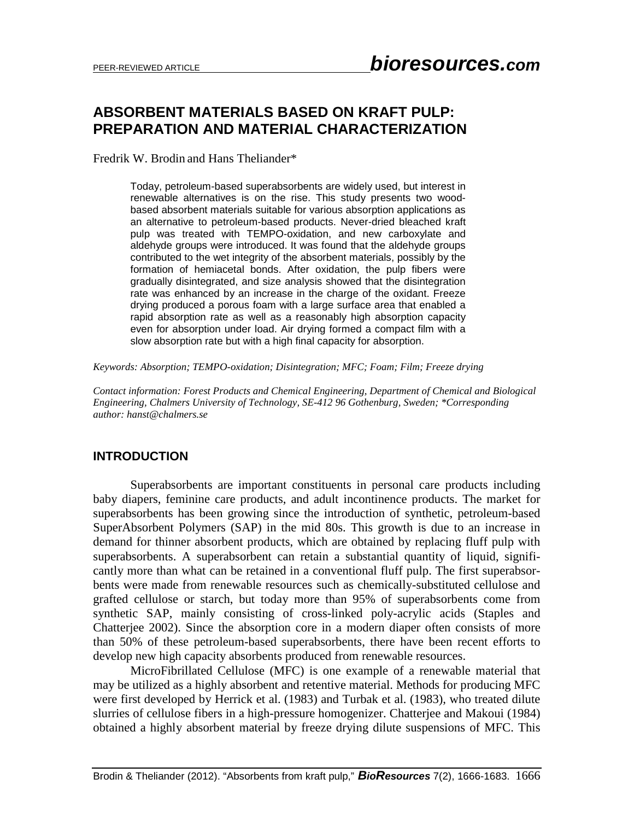# **ABSORBENT MATERIALS BASED ON KRAFT PULP: PREPARATION AND MATERIAL CHARACTERIZATION**

Fredrik W. Brodin and Hans Theliander\*

Today, petroleum-based superabsorbents are widely used, but interest in renewable alternatives is on the rise. This study presents two woodbased absorbent materials suitable for various absorption applications as an alternative to petroleum-based products. Never-dried bleached kraft pulp was treated with TEMPO-oxidation, and new carboxylate and aldehyde groups were introduced. It was found that the aldehyde groups contributed to the wet integrity of the absorbent materials, possibly by the formation of hemiacetal bonds. After oxidation, the pulp fibers were gradually disintegrated, and size analysis showed that the disintegration rate was enhanced by an increase in the charge of the oxidant. Freeze drying produced a porous foam with a large surface area that enabled a rapid absorption rate as well as a reasonably high absorption capacity even for absorption under load. Air drying formed a compact film with a slow absorption rate but with a high final capacity for absorption.

*Keywords: Absorption; TEMPO-oxidation; Disintegration; MFC; Foam; Film; Freeze drying*

*Contact information: Forest Products and Chemical Engineering, Department of Chemical and Biological Engineering, Chalmers University of Technology, SE-412 96 Gothenburg, Sweden; \*Corresponding author: hanst@chalmers.se*

# **INTRODUCTION**

Superabsorbents are important constituents in personal care products including baby diapers, feminine care products, and adult incontinence products. The market for superabsorbents has been growing since the introduction of synthetic, petroleum-based SuperAbsorbent Polymers (SAP) in the mid 80s. This growth is due to an increase in demand for thinner absorbent products, which are obtained by replacing fluff pulp with superabsorbents. A superabsorbent can retain a substantial quantity of liquid, significantly more than what can be retained in a conventional fluff pulp. The first superabsorbents were made from renewable resources such as chemically-substituted cellulose and grafted cellulose or starch, but today more than 95% of superabsorbents come from synthetic SAP, mainly consisting of cross-linked poly-acrylic acids (Staples and Chatterjee 2002). Since the absorption core in a modern diaper often consists of more than 50% of these petroleum-based superabsorbents, there have been recent efforts to develop new high capacity absorbents produced from renewable resources.

MicroFibrillated Cellulose (MFC) is one example of a renewable material that may be utilized as a highly absorbent and retentive material. Methods for producing MFC were first developed by Herrick et al. (1983) and Turbak et al. (1983), who treated dilute slurries of cellulose fibers in a high-pressure homogenizer. Chatterjee and Makoui (1984) obtained a highly absorbent material by freeze drying dilute suspensions of MFC. This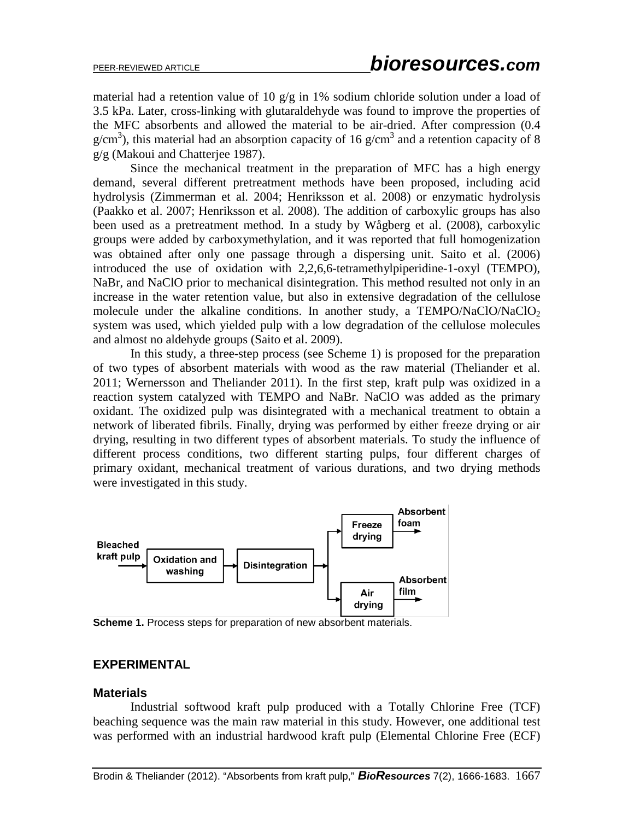material had a retention value of 10 g/g in 1% sodium chloride solution under a load of 3.5 kPa. Later, cross-linking with glutaraldehyde was found to improve the properties of the MFC absorbents and allowed the material to be air-dried. After compression (0.4  $g/cm<sup>3</sup>$ ), this material had an absorption capacity of 16  $g/cm<sup>3</sup>$  and a retention capacity of 8 g/g (Makoui and Chatterjee 1987).

Since the mechanical treatment in the preparation of MFC has a high energy demand, several different pretreatment methods have been proposed, including acid hydrolysis (Zimmerman et al. 2004; Henriksson et al. 2008) or enzymatic hydrolysis (Paakko et al. 2007; Henriksson et al. 2008). The addition of carboxylic groups has also been used as a pretreatment method. In a study by Wågberg et al. (2008), carboxylic groups were added by carboxymethylation, and it was reported that full homogenization was obtained after only one passage through a dispersing unit. Saito et al. (2006) introduced the use of oxidation with 2,2,6,6-tetramethylpiperidine-1-oxyl (TEMPO), NaBr, and NaClO prior to mechanical disintegration. This method resulted not only in an increase in the water retention value, but also in extensive degradation of the cellulose molecule under the alkaline conditions. In another study, a TEMPO/NaClO/NaClO<sub>2</sub> system was used, which yielded pulp with a low degradation of the cellulose molecules and almost no aldehyde groups (Saito et al. 2009).

In this study, a three-step process (see Scheme 1) is proposed for the preparation of two types of absorbent materials with wood as the raw material (Theliander et al. 2011; Wernersson and Theliander 2011). In the first step, kraft pulp was oxidized in a reaction system catalyzed with TEMPO and NaBr. NaClO was added as the primary oxidant. The oxidized pulp was disintegrated with a mechanical treatment to obtain a network of liberated fibrils. Finally, drying was performed by either freeze drying or air drying, resulting in two different types of absorbent materials. To study the influence of different process conditions, two different starting pulps, four different charges of primary oxidant, mechanical treatment of various durations, and two drying methods were investigated in this study.



**Scheme 1.** Process steps for preparation of new absorbent materials.

# **EXPERIMENTAL**

#### **Materials**

Industrial softwood kraft pulp produced with a Totally Chlorine Free (TCF) beaching sequence was the main raw material in this study. However, one additional test was performed with an industrial hardwood kraft pulp (Elemental Chlorine Free (ECF)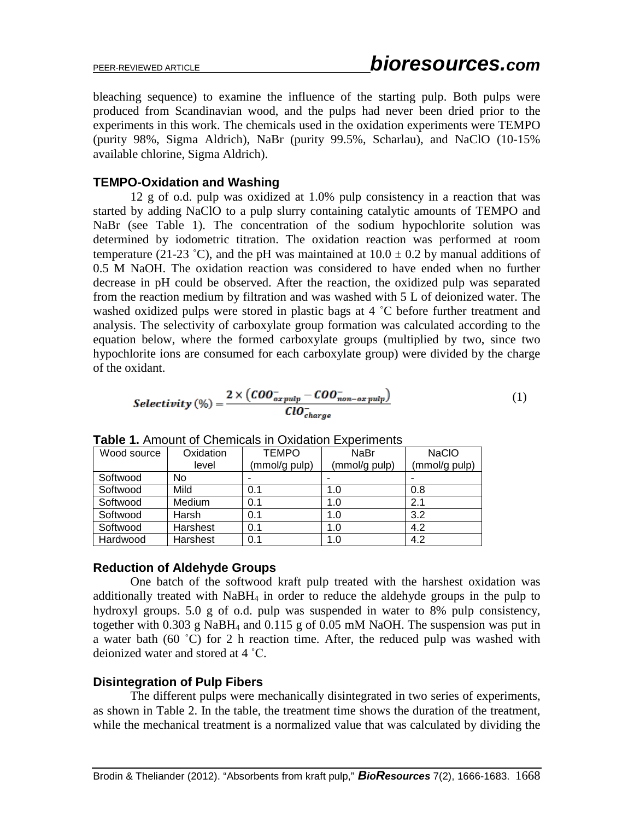bleaching sequence) to examine the influence of the starting pulp. Both pulps were produced from Scandinavian wood, and the pulps had never been dried prior to the experiments in this work. The chemicals used in the oxidation experiments were TEMPO (purity 98%, Sigma Aldrich), NaBr (purity 99.5%, Scharlau), and NaClO (10-15% available chlorine, Sigma Aldrich).

# **TEMPO-Oxidation and Washing**

12 g of o.d. pulp was oxidized at 1.0% pulp consistency in a reaction that was started by adding NaClO to a pulp slurry containing catalytic amounts of TEMPO and NaBr (see Table 1). The concentration of the sodium hypochlorite solution was determined by iodometric titration. The oxidation reaction was performed at room temperature (21-23 °C), and the pH was maintained at  $10.0 \pm 0.2$  by manual additions of 0.5 M NaOH. The oxidation reaction was considered to have ended when no further decrease in pH could be observed. After the reaction, the oxidized pulp was separated from the reaction medium by filtration and was washed with 5 L of deionized water. The washed oxidized pulps were stored in plastic bags at 4 ˚C before further treatment and analysis. The selectivity of carboxylate group formation was calculated according to the equation below, where the formed carboxylate groups (multiplied by two, since two hypochlorite ions are consumed for each carboxylate group) were divided by the charge of the oxidant.

$$
Selectivity \, (\%) = \frac{2 \times (COO_{ox\, pulp}^- - COO_{non-ox\, pulp}^-)}{ClO_{charae}^-} \tag{1}
$$

| Wood source | Oxidation | <b>TEMPO</b>  | NaBr          | <b>NaCIO</b>  |  |
|-------------|-----------|---------------|---------------|---------------|--|
|             | level     | (mmol/g pulp) | (mmol/g pulp) | (mmol/g pulp) |  |
| Softwood    | No        |               |               |               |  |
| Softwood    | Mild      | 0.1           | 1.0           | 0.8           |  |
| Softwood    | Medium    | 0.1           | 1.0           | 2.1           |  |
| Softwood    | Harsh     | 0.1           | 1.0           | 3.2           |  |
| Softwood    | Harshest  | 0.1           | 1.0           | 4.2           |  |
| Hardwood    | Harshest  | 0.1           | 1.0           | 4.2           |  |

**Table 1.** Amount of Chemicals in Oxidation Experiments

# **Reduction of Aldehyde Groups**

One batch of the softwood kraft pulp treated with the harshest oxidation was additionally treated with  $NaBH<sub>4</sub>$  in order to reduce the aldehyde groups in the pulp to hydroxyl groups. 5.0 g of o.d. pulp was suspended in water to 8% pulp consistency, together with 0.303 g NaBH4 and 0.115 g of 0.05 mM NaOH. The suspension was put in a water bath (60 ˚C) for 2 h reaction time. After, the reduced pulp was washed with deionized water and stored at 4 ˚C.

# **Disintegration of Pulp Fibers**

The different pulps were mechanically disintegrated in two series of experiments, as shown in Table 2. In the table, the treatment time shows the duration of the treatment, while the mechanical treatment is a normalized value that was calculated by dividing the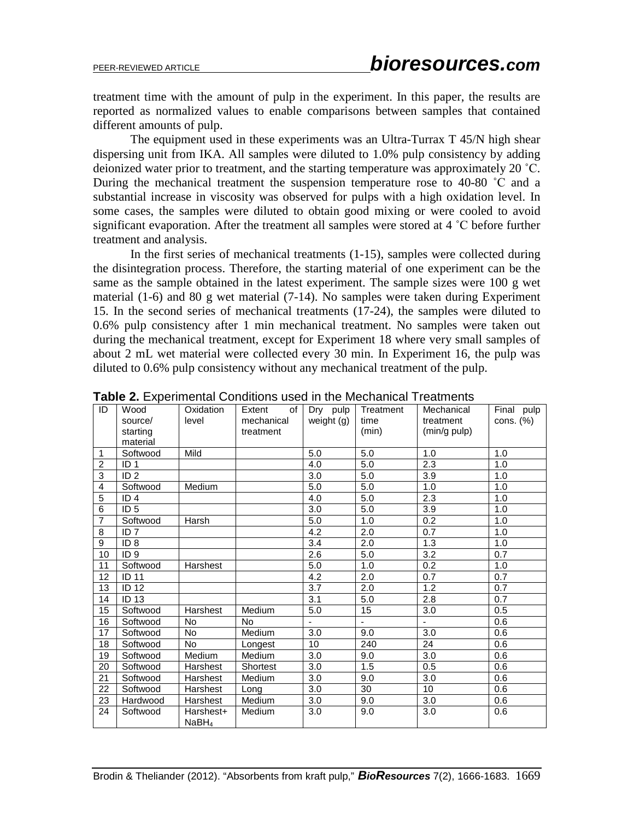treatment time with the amount of pulp in the experiment. In this paper, the results are reported as normalized values to enable comparisons between samples that contained different amounts of pulp.

The equipment used in these experiments was an Ultra-Turrax T 45/N high shear dispersing unit from IKA. All samples were diluted to 1.0% pulp consistency by adding deionized water prior to treatment, and the starting temperature was approximately 20 ˚C. During the mechanical treatment the suspension temperature rose to 40-80 ˚C and a substantial increase in viscosity was observed for pulps with a high oxidation level. In some cases, the samples were diluted to obtain good mixing or were cooled to avoid significant evaporation. After the treatment all samples were stored at 4 ˚C before further treatment and analysis.

In the first series of mechanical treatments (1-15), samples were collected during the disintegration process. Therefore, the starting material of one experiment can be the same as the sample obtained in the latest experiment. The sample sizes were 100 g wet material (1-6) and 80 g wet material (7-14). No samples were taken during Experiment 15. In the second series of mechanical treatments (17-24), the samples were diluted to 0.6% pulp consistency after 1 min mechanical treatment. No samples were taken out during the mechanical treatment, except for Experiment 18 where very small samples of about 2 mL wet material were collected every 30 min. In Experiment 16, the pulp was diluted to 0.6% pulp consistency without any mechanical treatment of the pulp.

|                | <b>TWO EI</b> EXPONSIVERS CONGITORS GOOD IN THE INCONGITION TROUGHOLIC |                                |                |                  |           |                  |              |  |
|----------------|------------------------------------------------------------------------|--------------------------------|----------------|------------------|-----------|------------------|--------------|--|
| ID             | Wood                                                                   | Oxidation                      | Extent<br>of I | Dry pulp         | Treatment | Mechanical       | Final pulp   |  |
|                | source/                                                                | level                          | mechanical     | weight (g)       | time      | treatment        | cons. $(\%)$ |  |
|                | starting                                                               |                                | treatment      |                  | (min)     | (min/g pulp)     |              |  |
|                | material                                                               |                                |                |                  |           |                  |              |  |
| 1              | Softwood                                                               | Mild                           |                | 5.0              | 5.0       | 1.0              | 1.0          |  |
| $\overline{2}$ | ID <sub>1</sub>                                                        |                                |                | 4.0              | 5.0       | $\overline{2.3}$ | 1.0          |  |
| 3              | ID <sub>2</sub>                                                        |                                |                | 3.0              | 5.0       | 3.9              | 1.0          |  |
| $\overline{4}$ | Softwood                                                               | Medium                         |                | $\overline{5.0}$ | 5.0       | 1.0              | 1.0          |  |
| 5              | ID <sub>4</sub>                                                        |                                |                | 4.0              | 5.0       | 2.3              | 1.0          |  |
| $\,6$          | ID <sub>5</sub>                                                        |                                |                | 3.0              | 5.0       | 3.9              | 1.0          |  |
| $\overline{7}$ | Softwood                                                               | Harsh                          |                | 5.0              | 1.0       | 0.2              | 1.0          |  |
| 8              | ID <sub>7</sub>                                                        |                                |                | 4.2              | 2.0       | 0.7              | 1.0          |  |
| 9              | ID <sub>8</sub>                                                        |                                |                | 3.4              | 2.0       | 1.3              | 1.0          |  |
| 10             | ID <sub>9</sub>                                                        |                                |                | 2.6              | 5.0       | 3.2              | 0.7          |  |
| 11             | Softwood                                                               | Harshest                       |                | 5.0              | 1.0       | 0.2              | 1.0          |  |
| 12             | <b>ID 11</b>                                                           |                                |                | 4.2              | 2.0       | 0.7              | 0.7          |  |
| 13             | <b>ID 12</b>                                                           |                                |                | 3.7              | 2.0       | 1.2              | 0.7          |  |
| 14             | <b>ID 13</b>                                                           |                                |                | 3.1              | 5.0       | 2.8              | 0.7          |  |
| 15             | Softwood                                                               | Harshest                       | Medium         | 5.0              | 15        | 3.0              | 0.5          |  |
| 16             | Softwood                                                               | No.                            | No.            | $\sim$           | ÷.        | ٠                | 0.6          |  |
| 17             | Softwood                                                               | <b>No</b>                      | Medium         | 3.0              | 9.0       | 3.0              | 0.6          |  |
| 18             | Softwood                                                               | <b>No</b>                      | Longest        | 10               | 240       | 24               | 0.6          |  |
| 19             | Softwood                                                               | Medium                         | <b>Medium</b>  | 3.0              | 9.0       | 3.0              | 0.6          |  |
| 20             | Softwood                                                               | Harshest                       | Shortest       | 3.0              | 1.5       | 0.5              | 0.6          |  |
| 21             | Softwood                                                               | Harshest                       | Medium         | 3.0              | 9.0       | 3.0              | 0.6          |  |
| 22             | Softwood                                                               | Harshest                       | Long           | 3.0              | 30        | 10               | 0.6          |  |
| 23             | Hardwood                                                               | Harshest                       | Medium         | 3.0              | 9.0       | 3.0              | 0.6          |  |
| 24             | Softwood                                                               | Harshest+<br>NaBH <sub>4</sub> | Medium         | 3.0              | 9.0       | 3.0              | 0.6          |  |

**Table 2.** Experimental Conditions used in the Mechanical Treatments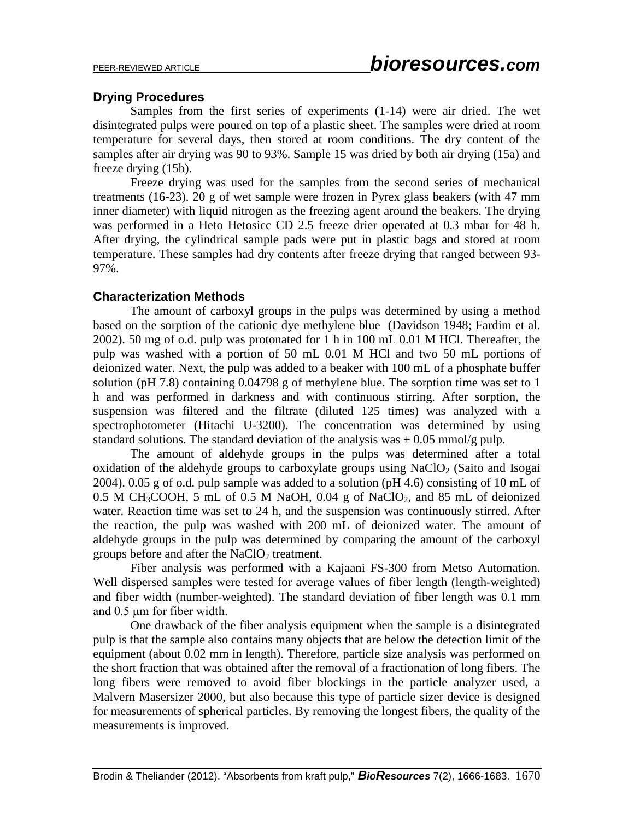# **Drying Procedures**

Samples from the first series of experiments (1-14) were air dried. The wet disintegrated pulps were poured on top of a plastic sheet. The samples were dried at room temperature for several days, then stored at room conditions. The dry content of the samples after air drying was 90 to 93%. Sample 15 was dried by both air drying (15a) and freeze drying (15b).

Freeze drying was used for the samples from the second series of mechanical treatments (16-23). 20 g of wet sample were frozen in Pyrex glass beakers (with 47 mm inner diameter) with liquid nitrogen as the freezing agent around the beakers. The drying was performed in a Heto Hetosicc CD 2.5 freeze drier operated at 0.3 mbar for 48 h. After drying, the cylindrical sample pads were put in plastic bags and stored at room temperature. These samples had dry contents after freeze drying that ranged between 93- 97%.

# **Characterization Methods**

The amount of carboxyl groups in the pulps was determined by using a method based on the sorption of the cationic dye methylene blue (Davidson 1948; Fardim et al. 2002). 50 mg of o.d. pulp was protonated for 1 h in 100 mL 0.01 M HCl. Thereafter, the pulp was washed with a portion of 50 mL 0.01 M HCl and two 50 mL portions of deionized water. Next, the pulp was added to a beaker with 100 mL of a phosphate buffer solution (pH 7.8) containing 0.04798 g of methylene blue. The sorption time was set to 1 h and was performed in darkness and with continuous stirring. After sorption, the suspension was filtered and the filtrate (diluted 125 times) was analyzed with a spectrophotometer (Hitachi U-3200). The concentration was determined by using standard solutions. The standard deviation of the analysis was  $\pm 0.05$  mmol/g pulp.

The amount of aldehyde groups in the pulps was determined after a total oxidation of the aldehyde groups to carboxylate groups using  $NaClO<sub>2</sub>$  (Saito and Isogai 2004). 0.05 g of o.d. pulp sample was added to a solution (pH 4.6) consisting of 10 mL of 0.5 M CH<sub>3</sub>COOH, 5 mL of 0.5 M NaOH, 0.04 g of NaClO<sub>2</sub>, and 85 mL of deionized water. Reaction time was set to 24 h, and the suspension was continuously stirred. After the reaction, the pulp was washed with 200 mL of deionized water. The amount of aldehyde groups in the pulp was determined by comparing the amount of the carboxyl groups before and after the NaClO<sub>2</sub> treatment.

Fiber analysis was performed with a Kajaani FS-300 from Metso Automation. Well dispersed samples were tested for average values of fiber length (length-weighted) and fiber width (number-weighted). The standard deviation of fiber length was 0.1 mm and 0.5 μm for fiber width.

One drawback of the fiber analysis equipment when the sample is a disintegrated pulp is that the sample also contains many objects that are below the detection limit of the equipment (about 0.02 mm in length). Therefore, particle size analysis was performed on the short fraction that was obtained after the removal of a fractionation of long fibers. The long fibers were removed to avoid fiber blockings in the particle analyzer used, a Malvern Masersizer 2000, but also because this type of particle sizer device is designed for measurements of spherical particles. By removing the longest fibers, the quality of the measurements is improved.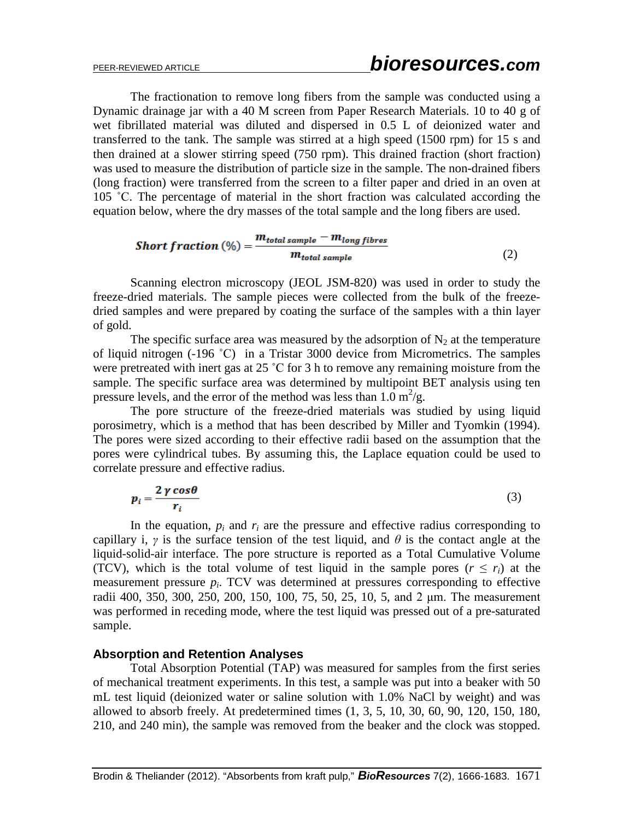The fractionation to remove long fibers from the sample was conducted using a Dynamic drainage jar with a 40 M screen from Paper Research Materials. 10 to 40 g of wet fibrillated material was diluted and dispersed in 0.5 L of deionized water and transferred to the tank. The sample was stirred at a high speed (1500 rpm) for 15 s and then drained at a slower stirring speed (750 rpm). This drained fraction (short fraction) was used to measure the distribution of particle size in the sample. The non-drained fibers (long fraction) were transferred from the screen to a filter paper and dried in an oven at 105 ˚C. The percentage of material in the short fraction was calculated according the equation below, where the dry masses of the total sample and the long fibers are used.

**Short fraction** 
$$
(\%) = \frac{m_{total sample} - m_{long fibres}}{m_{total sample}}
$$
 (2)

Scanning electron microscopy (JEOL JSM-820) was used in order to study the freeze-dried materials. The sample pieces were collected from the bulk of the freezedried samples and were prepared by coating the surface of the samples with a thin layer of gold.

The specific surface area was measured by the adsorption of  $N_2$  at the temperature of liquid nitrogen (-196 ˚C) in a Tristar 3000 device from Micrometrics. The samples were pretreated with inert gas at 25 °C for 3 h to remove any remaining moisture from the sample. The specific surface area was determined by multipoint BET analysis using ten pressure levels, and the error of the method was less than  $1.0 \text{ m}^2/\text{g}$ .

The pore structure of the freeze-dried materials was studied by using liquid porosimetry, which is a method that has been described by Miller and Tyomkin (1994). The pores were sized according to their effective radii based on the assumption that the pores were cylindrical tubes. By assuming this, the Laplace equation could be used to correlate pressure and effective radius.

$$
p_i = \frac{2\gamma \cos\theta}{r_i} \tag{3}
$$

In the equation,  $p_i$  and  $r_i$  are the pressure and effective radius corresponding to capillary i,  $\gamma$  is the surface tension of the test liquid, and  $\theta$  is the contact angle at the liquid-solid-air interface. The pore structure is reported as a Total Cumulative Volume (TCV), which is the total volume of test liquid in the sample pores  $(r \le r_i)$  at the measurement pressure *pi*. TCV was determined at pressures corresponding to effective radii 400, 350, 300, 250, 200, 150, 100, 75, 50, 25, 10, 5, and 2 μm. The measurement was performed in receding mode, where the test liquid was pressed out of a pre-saturated sample.

#### **Absorption and Retention Analyses**

Total Absorption Potential (TAP) was measured for samples from the first series of mechanical treatment experiments. In this test, a sample was put into a beaker with 50 mL test liquid (deionized water or saline solution with 1.0% NaCl by weight) and was allowed to absorb freely. At predetermined times (1, 3, 5, 10, 30, 60, 90, 120, 150, 180, 210, and 240 min), the sample was removed from the beaker and the clock was stopped.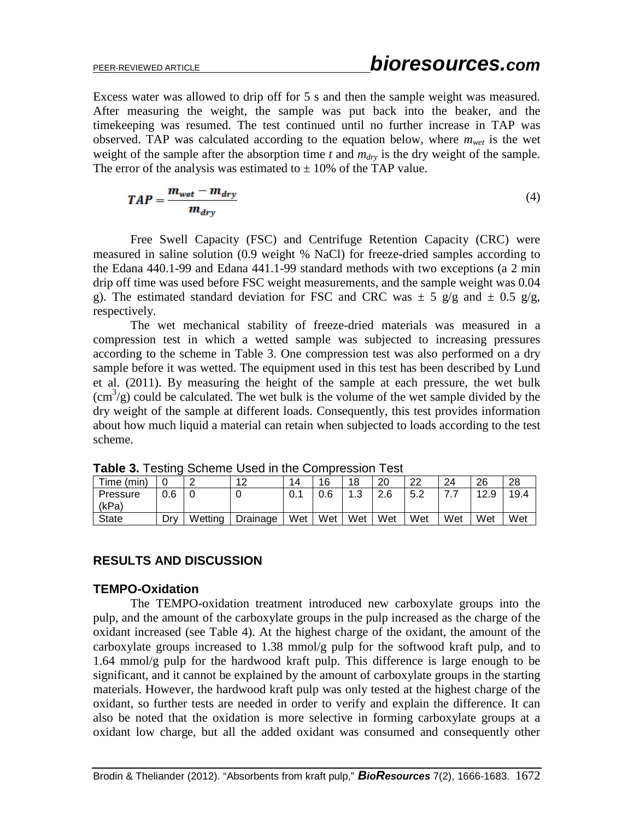Excess water was allowed to drip off for 5 s and then the sample weight was measured. After measuring the weight, the sample was put back into the beaker, and the timekeeping was resumed. The test continued until no further increase in TAP was observed. TAP was calculated according to the equation below, where  $m_{wet}$  is the wet weight of the sample after the absorption time  $t$  and  $m_{\text{div}}$  is the dry weight of the sample. The error of the analysis was estimated to  $\pm$  10% of the TAP value.

$$
TAP = \frac{m_{wet} - m_{dry}}{m_{dry}}\tag{4}
$$

Free Swell Capacity (FSC) and Centrifuge Retention Capacity (CRC) were measured in saline solution (0.9 weight % NaCl) for freeze-dried samples according to the Edana 440.1-99 and Edana 441.1-99 standard methods with two exceptions (a 2 min drip off time was used before FSC weight measurements, and the sample weight was 0.04 g). The estimated standard deviation for FSC and CRC was  $\pm$  5 g/g and  $\pm$  0.5 g/g, respectively.

The wet mechanical stability of freeze-dried materials was measured in a compression test in which a wetted sample was subjected to increasing pressures according to the scheme in Table 3. One compression test was also performed on a dry sample before it was wetted. The equipment used in this test has been described by Lund et al. (2011). By measuring the height of the sample at each pressure, the wet bulk  $\rm (cm<sup>3</sup>/g)$  could be calculated. The wet bulk is the volume of the wet sample divided by the dry weight of the sample at different loads. Consequently, this test provides information about how much liquid a material can retain when subjected to loads according to the test scheme.

|                   | <u>LUMO VI TUUMIN UUNUN UUUU IILMIU UUNNIUUUIUI TUUM</u> |         |          |     |     |        |     |     |     |      |      |
|-------------------|----------------------------------------------------------|---------|----------|-----|-----|--------|-----|-----|-----|------|------|
| Time (min)        |                                                          |         | 10       | 14  | 16  | 18     | 20  | 22  | 24  | 26   | 28   |
| Pressure<br>(kPa) | 0.6                                                      |         | U        | 0.1 | 0.6 | $\sim$ | 2.6 | 5.2 |     | 12.9 | 19.4 |
| State             | Drv                                                      | Wetting | Drainage | Wet | Wet | Wet    | Wet | Wet | Wet | Wet  | Wet  |

**Table 3.** Testing Scheme Used in the Compression Test

### **RESULTS AND DISCUSSION**

#### **TEMPO-Oxidation**

The TEMPO-oxidation treatment introduced new carboxylate groups into the pulp, and the amount of the carboxylate groups in the pulp increased as the charge of the oxidant increased (see Table 4). At the highest charge of the oxidant, the amount of the carboxylate groups increased to 1.38 mmol/g pulp for the softwood kraft pulp, and to 1.64 mmol/g pulp for the hardwood kraft pulp. This difference is large enough to be significant, and it cannot be explained by the amount of carboxylate groups in the starting materials. However, the hardwood kraft pulp was only tested at the highest charge of the oxidant, so further tests are needed in order to verify and explain the difference. It can also be noted that the oxidation is more selective in forming carboxylate groups at a oxidant low charge, but all the added oxidant was consumed and consequently other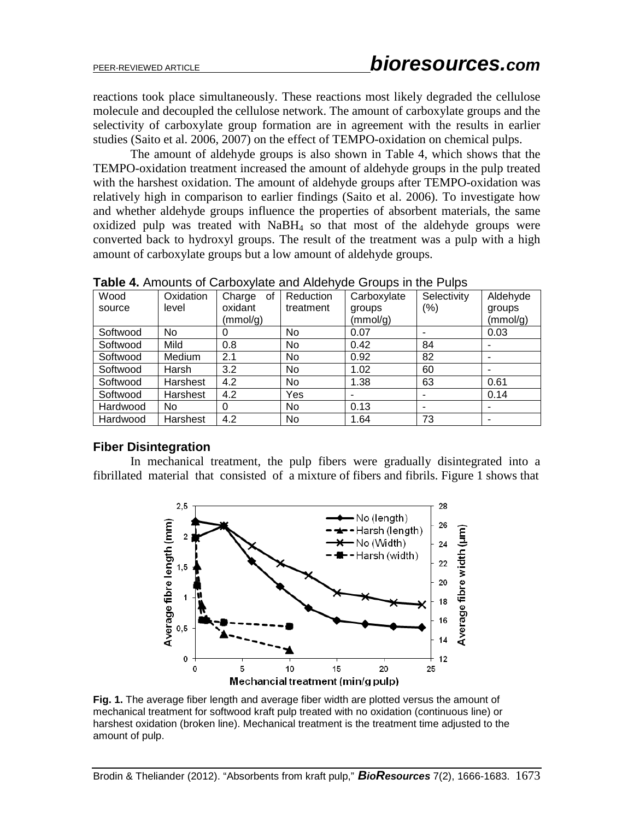reactions took place simultaneously. These reactions most likely degraded the cellulose molecule and decoupled the cellulose network. The amount of carboxylate groups and the selectivity of carboxylate group formation are in agreement with the results in earlier studies (Saito et al. 2006, 2007) on the effect of TEMPO-oxidation on chemical pulps.

The amount of aldehyde groups is also shown in Table 4, which shows that the TEMPO-oxidation treatment increased the amount of aldehyde groups in the pulp treated with the harshest oxidation. The amount of aldehyde groups after TEMPO-oxidation was relatively high in comparison to earlier findings (Saito et al. 2006). To investigate how and whether aldehyde groups influence the properties of absorbent materials, the same oxidized pulp was treated with  $N$ a $BH$ <sub>4</sub> so that most of the aldehyde groups were converted back to hydroxyl groups. The result of the treatment was a pulp with a high amount of carboxylate groups but a low amount of aldehyde groups.

| <u>TUDIO TI / MNOUNO OF OUNDOAYIUNO UNU / MUOHYUO OFOUDO IN MNO F UIDO</u> |           |              |           |             |             |                          |  |  |  |
|----------------------------------------------------------------------------|-----------|--------------|-----------|-------------|-------------|--------------------------|--|--|--|
| Wood                                                                       | Oxidation | 0f<br>Charge | Reduction | Carboxylate | Selectivity | Aldehyde                 |  |  |  |
| source                                                                     | level     | oxidant      | treatment | groups      | $(\% )$     | groups                   |  |  |  |
|                                                                            |           | (mmol/g)     |           | (mmol/g)    |             | (mmol/g)                 |  |  |  |
| Softwood                                                                   | <b>No</b> | 0            | No        | 0.07        |             | 0.03                     |  |  |  |
| Softwood                                                                   | Mild      | 0.8          | <b>No</b> | 0.42        | 84          | ٠                        |  |  |  |
| Softwood                                                                   | Medium    | 2.1          | No        | 0.92        | 82          | $\overline{\phantom{0}}$ |  |  |  |
| Softwood                                                                   | Harsh     | 3.2          | No        | 1.02        | 60          | -                        |  |  |  |
| Softwood                                                                   | Harshest  | 4.2          | No        | 1.38        | 63          | 0.61                     |  |  |  |
| Softwood                                                                   | Harshest  | 4.2          | Yes       |             | -           | 0.14                     |  |  |  |
| Hardwood                                                                   | No.       | 0            | <b>No</b> | 0.13        |             |                          |  |  |  |
| Hardwood                                                                   | Harshest  | 4.2          | No        | 1.64        | 73          | -                        |  |  |  |

**Table 4.** Amounts of Carboxylate and Aldehyde Groups in the Pulps

#### **Fiber Disintegration**

In mechanical treatment, the pulp fibers were gradually disintegrated into a fibrillated material that consisted of a mixture of fibers and fibrils. Figure 1 shows that



**Fig. 1.** The average fiber length and average fiber width are plotted versus the amount of mechanical treatment for softwood kraft pulp treated with no oxidation (continuous line) or harshest oxidation (broken line). Mechanical treatment is the treatment time adjusted to the amount of pulp.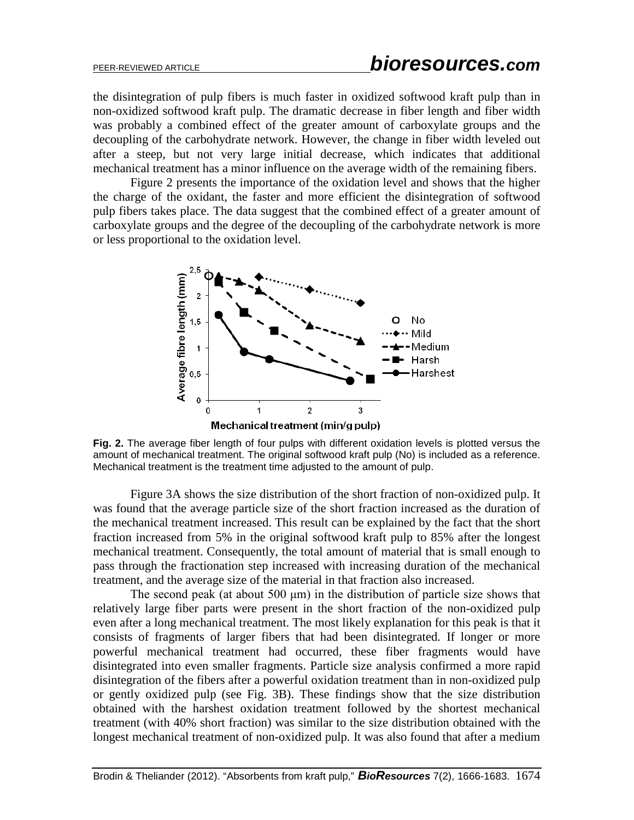the disintegration of pulp fibers is much faster in oxidized softwood kraft pulp than in non-oxidized softwood kraft pulp. The dramatic decrease in fiber length and fiber width was probably a combined effect of the greater amount of carboxylate groups and the decoupling of the carbohydrate network. However, the change in fiber width leveled out after a steep, but not very large initial decrease, which indicates that additional mechanical treatment has a minor influence on the average width of the remaining fibers.

Figure 2 presents the importance of the oxidation level and shows that the higher the charge of the oxidant, the faster and more efficient the disintegration of softwood pulp fibers takes place. The data suggest that the combined effect of a greater amount of carboxylate groups and the degree of the decoupling of the carbohydrate network is more or less proportional to the oxidation level.



**Fig. 2.** The average fiber length of four pulps with different oxidation levels is plotted versus the amount of mechanical treatment. The original softwood kraft pulp (No) is included as a reference. Mechanical treatment is the treatment time adjusted to the amount of pulp.

Figure 3A shows the size distribution of the short fraction of non-oxidized pulp. It was found that the average particle size of the short fraction increased as the duration of the mechanical treatment increased. This result can be explained by the fact that the short fraction increased from 5% in the original softwood kraft pulp to 85% after the longest mechanical treatment. Consequently, the total amount of material that is small enough to pass through the fractionation step increased with increasing duration of the mechanical treatment, and the average size of the material in that fraction also increased.

The second peak (at about 500  $\mu$ m) in the distribution of particle size shows that relatively large fiber parts were present in the short fraction of the non-oxidized pulp even after a long mechanical treatment. The most likely explanation for this peak is that it consists of fragments of larger fibers that had been disintegrated. If longer or more powerful mechanical treatment had occurred, these fiber fragments would have disintegrated into even smaller fragments. Particle size analysis confirmed a more rapid disintegration of the fibers after a powerful oxidation treatment than in non-oxidized pulp or gently oxidized pulp (see Fig. 3B). These findings show that the size distribution obtained with the harshest oxidation treatment followed by the shortest mechanical treatment (with 40% short fraction) was similar to the size distribution obtained with the longest mechanical treatment of non-oxidized pulp. It was also found that after a medium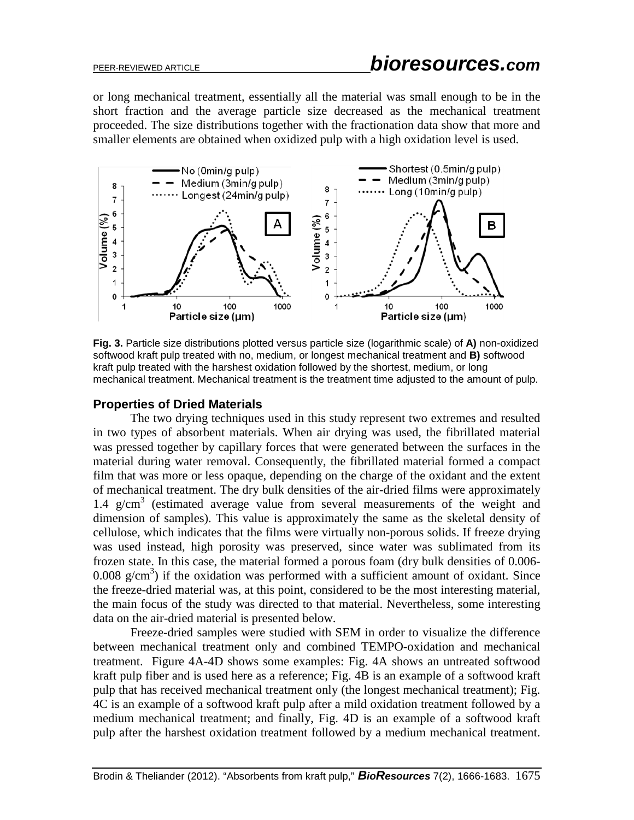or long mechanical treatment, essentially all the material was small enough to be in the short fraction and the average particle size decreased as the mechanical treatment proceeded. The size distributions together with the fractionation data show that more and smaller elements are obtained when oxidized pulp with a high oxidation level is used.



**Fig. 3.** Particle size distributions plotted versus particle size (logarithmic scale) of **A)** non-oxidized softwood kraft pulp treated with no, medium, or longest mechanical treatment and **B)** softwood kraft pulp treated with the harshest oxidation followed by the shortest, medium, or long mechanical treatment. Mechanical treatment is the treatment time adjusted to the amount of pulp.

# **Properties of Dried Materials**

The two drying techniques used in this study represent two extremes and resulted in two types of absorbent materials. When air drying was used, the fibrillated material was pressed together by capillary forces that were generated between the surfaces in the material during water removal. Consequently, the fibrillated material formed a compact film that was more or less opaque, depending on the charge of the oxidant and the extent of mechanical treatment. The dry bulk densities of the air-dried films were approximately 1.4  $g/cm<sup>3</sup>$  (estimated average value from several measurements of the weight and dimension of samples). This value is approximately the same as the skeletal density of cellulose, which indicates that the films were virtually non-porous solids. If freeze drying was used instead, high porosity was preserved, since water was sublimated from its frozen state. In this case, the material formed a porous foam (dry bulk densities of 0.006- 0.008  $g/cm<sup>3</sup>$ ) if the oxidation was performed with a sufficient amount of oxidant. Since the freeze-dried material was, at this point, considered to be the most interesting material, the main focus of the study was directed to that material. Nevertheless, some interesting data on the air-dried material is presented below.

Freeze-dried samples were studied with SEM in order to visualize the difference between mechanical treatment only and combined TEMPO-oxidation and mechanical treatment. Figure 4A-4D shows some examples: Fig. 4A shows an untreated softwood kraft pulp fiber and is used here as a reference; Fig. 4B is an example of a softwood kraft pulp that has received mechanical treatment only (the longest mechanical treatment); Fig. 4C is an example of a softwood kraft pulp after a mild oxidation treatment followed by a medium mechanical treatment; and finally, Fig. 4D is an example of a softwood kraft pulp after the harshest oxidation treatment followed by a medium mechanical treatment.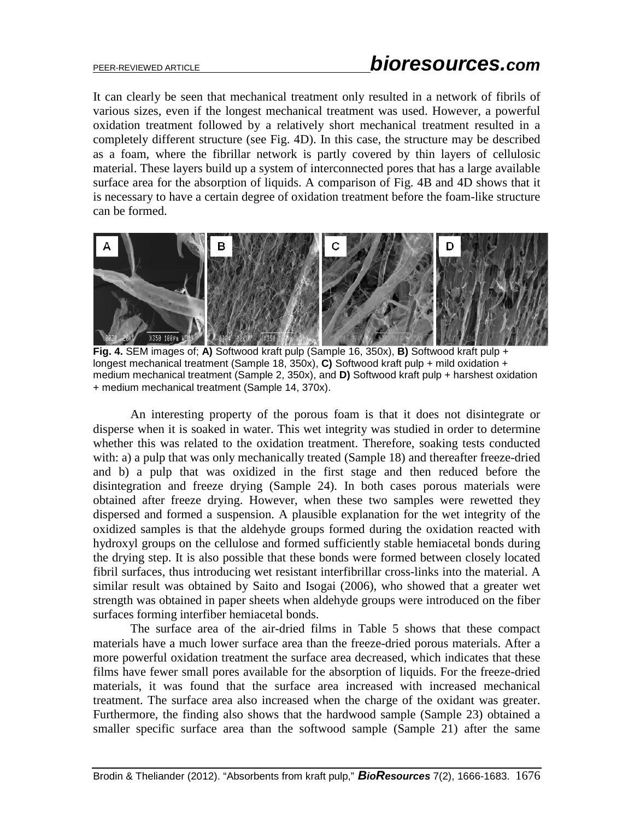It can clearly be seen that mechanical treatment only resulted in a network of fibrils of various sizes, even if the longest mechanical treatment was used. However, a powerful oxidation treatment followed by a relatively short mechanical treatment resulted in a completely different structure (see Fig. 4D). In this case, the structure may be described as a foam, where the fibrillar network is partly covered by thin layers of cellulosic material. These layers build up a system of interconnected pores that has a large available surface area for the absorption of liquids. A comparison of Fig. 4B and 4D shows that it is necessary to have a certain degree of oxidation treatment before the foam-like structure can be formed.



**Fig. 4.** SEM images of; **A)** Softwood kraft pulp (Sample 16, 350x), **B)** Softwood kraft pulp + longest mechanical treatment (Sample 18, 350x), **C)** Softwood kraft pulp + mild oxidation + medium mechanical treatment (Sample 2, 350x), and **D)** Softwood kraft pulp + harshest oxidation + medium mechanical treatment (Sample 14, 370x).

An interesting property of the porous foam is that it does not disintegrate or disperse when it is soaked in water. This wet integrity was studied in order to determine whether this was related to the oxidation treatment. Therefore, soaking tests conducted with: a) a pulp that was only mechanically treated (Sample 18) and thereafter freeze-dried and b) a pulp that was oxidized in the first stage and then reduced before the disintegration and freeze drying (Sample 24). In both cases porous materials were obtained after freeze drying. However, when these two samples were rewetted they dispersed and formed a suspension. A plausible explanation for the wet integrity of the oxidized samples is that the aldehyde groups formed during the oxidation reacted with hydroxyl groups on the cellulose and formed sufficiently stable hemiacetal bonds during the drying step. It is also possible that these bonds were formed between closely located fibril surfaces, thus introducing wet resistant interfibrillar cross-links into the material. A similar result was obtained by Saito and Isogai (2006), who showed that a greater wet strength was obtained in paper sheets when aldehyde groups were introduced on the fiber surfaces forming interfiber hemiacetal bonds.

The surface area of the air-dried films in Table 5 shows that these compact materials have a much lower surface area than the freeze-dried porous materials. After a more powerful oxidation treatment the surface area decreased, which indicates that these films have fewer small pores available for the absorption of liquids. For the freeze-dried materials, it was found that the surface area increased with increased mechanical treatment. The surface area also increased when the charge of the oxidant was greater. Furthermore, the finding also shows that the hardwood sample (Sample 23) obtained a smaller specific surface area than the softwood sample (Sample 21) after the same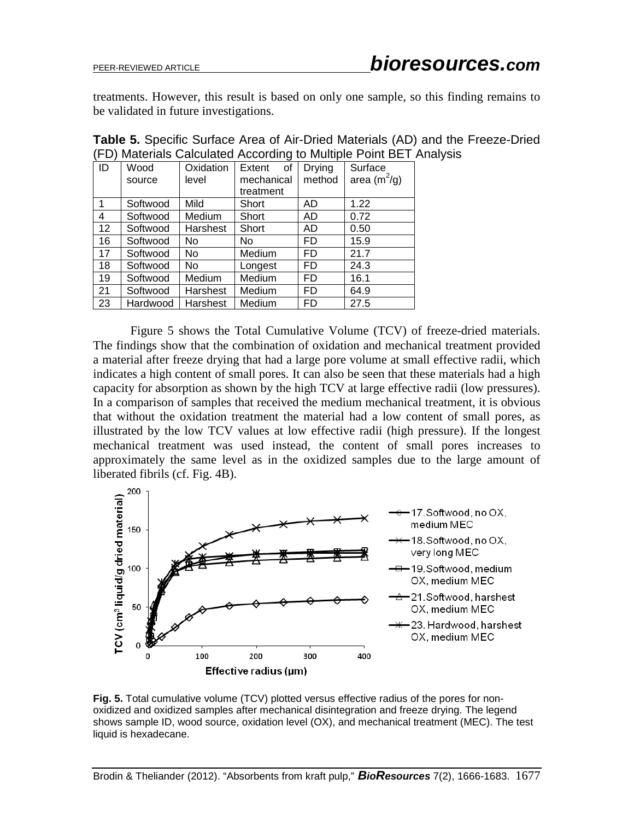treatments. However, this result is based on only one sample, so this finding remains to be validated in future investigations.

| ID | Wood     | Oxidation      | Extent<br>0f | <b>Drying</b> | Surface        |
|----|----------|----------------|--------------|---------------|----------------|
|    |          |                |              |               |                |
|    | source   | level          | mechanical   | method        | area $(m^2/g)$ |
|    |          |                | treatment    |               |                |
|    | Softwood | Mild           | Short        | AD            | 1.22           |
| 4  | Softwood | Medium         | Short        | AD            | 0.72           |
| 12 | Softwood | Harshest       | Short        | AD            | 0.50           |
| 16 | Softwood | N <sub>o</sub> | No.          | FD            | 15.9           |
| 17 | Softwood | No             | Medium       | <b>FD</b>     | 21.7           |
| 18 | Softwood | N <sub>o</sub> | Longest      | FD            | 24.3           |
| 19 | Softwood | Medium         | Medium       | FD            | 16.1           |
| 21 | Softwood | Harshest       | Medium       | FD            | 64.9           |
| 23 | Hardwood | Harshest       | Medium       | FD            | 27.5           |

| <b>Table 5.</b> Specific Surface Area of Air-Dried Materials (AD) and the Freeze-Dried |  |
|----------------------------------------------------------------------------------------|--|
| (FD) Materials Calculated According to Multiple Point BET Analysis                     |  |

Figure 5 shows the Total Cumulative Volume (TCV) of freeze-dried materials. The findings show that the combination of oxidation and mechanical treatment provided a material after freeze drying that had a large pore volume at small effective radii, which indicates a high content of small pores. It can also be seen that these materials had a high capacity for absorption as shown by the high TCV at large effective radii (low pressures). In a comparison of samples that received the medium mechanical treatment, it is obvious that without the oxidation treatment the material had a low content of small pores, as illustrated by the low TCV values at low effective radii (high pressure). If the longest mechanical treatment was used instead, the content of small pores increases to approximately the same level as in the oxidized samples due to the large amount of liberated fibrils (cf. Fig. 4B).



**Fig. 5.** Total cumulative volume (TCV) plotted versus effective radius of the pores for nonoxidized and oxidized samples after mechanical disintegration and freeze drying. The legend shows sample ID, wood source, oxidation level (OX), and mechanical treatment (MEC). The test liquid is hexadecane.

Brodin & Theliander (2012). "Absorbents from kraft pulp," *BioResources* 7(2), 1666-1683. 1677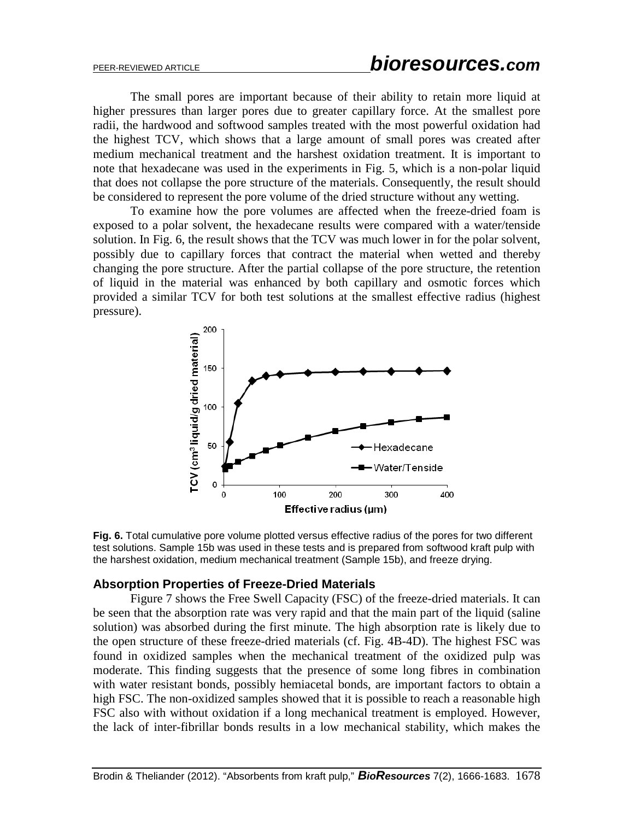The small pores are important because of their ability to retain more liquid at higher pressures than larger pores due to greater capillary force. At the smallest pore radii, the hardwood and softwood samples treated with the most powerful oxidation had the highest TCV, which shows that a large amount of small pores was created after medium mechanical treatment and the harshest oxidation treatment. It is important to note that hexadecane was used in the experiments in Fig. 5, which is a non-polar liquid that does not collapse the pore structure of the materials. Consequently, the result should be considered to represent the pore volume of the dried structure without any wetting.

To examine how the pore volumes are affected when the freeze-dried foam is exposed to a polar solvent, the hexadecane results were compared with a water/tenside solution. In Fig. 6, the result shows that the TCV was much lower in for the polar solvent, possibly due to capillary forces that contract the material when wetted and thereby changing the pore structure. After the partial collapse of the pore structure, the retention of liquid in the material was enhanced by both capillary and osmotic forces which provided a similar TCV for both test solutions at the smallest effective radius (highest pressure).



**Fig. 6.** Total cumulative pore volume plotted versus effective radius of the pores for two different test solutions. Sample 15b was used in these tests and is prepared from softwood kraft pulp with the harshest oxidation, medium mechanical treatment (Sample 15b), and freeze drying.

#### **Absorption Properties of Freeze-Dried Materials**

Figure 7 shows the Free Swell Capacity (FSC) of the freeze-dried materials. It can be seen that the absorption rate was very rapid and that the main part of the liquid (saline solution) was absorbed during the first minute. The high absorption rate is likely due to the open structure of these freeze-dried materials (cf. Fig. 4B-4D). The highest FSC was found in oxidized samples when the mechanical treatment of the oxidized pulp was moderate. This finding suggests that the presence of some long fibres in combination with water resistant bonds, possibly hemiacetal bonds, are important factors to obtain a high FSC. The non-oxidized samples showed that it is possible to reach a reasonable high FSC also with without oxidation if a long mechanical treatment is employed. However, the lack of inter-fibrillar bonds results in a low mechanical stability, which makes the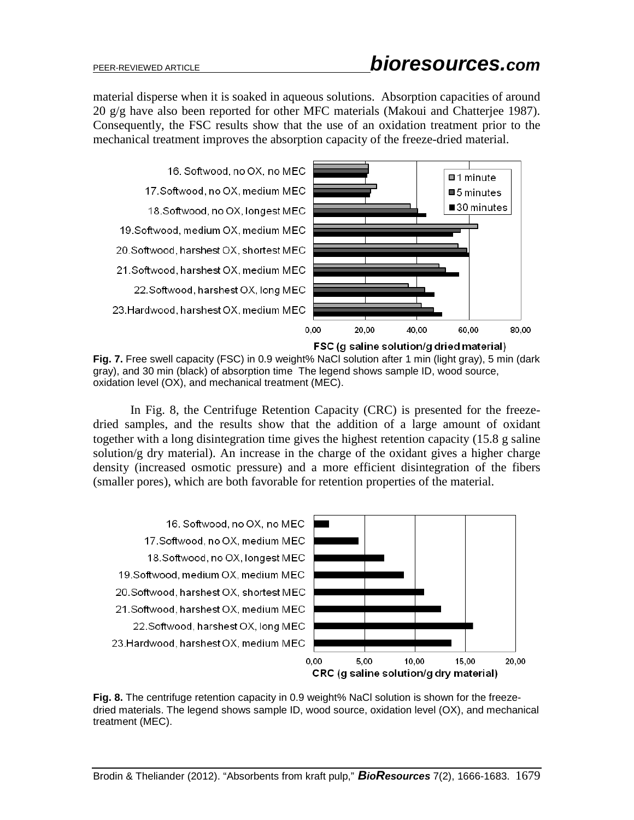material disperse when it is soaked in aqueous solutions. Absorption capacities of around 20 g/g have also been reported for other MFC materials (Makoui and Chatterjee 1987). Consequently, the FSC results show that the use of an oxidation treatment prior to the mechanical treatment improves the absorption capacity of the freeze-dried material.



FSC (g saline solution/g dried material)

**Fig. 7.** Free swell capacity (FSC) in 0.9 weight% NaCl solution after 1 min (light gray), 5 min (dark gray), and 30 min (black) of absorption time The legend shows sample ID, wood source, oxidation level (OX), and mechanical treatment (MEC).

In Fig. 8, the Centrifuge Retention Capacity (CRC) is presented for the freezedried samples, and the results show that the addition of a large amount of oxidant together with a long disintegration time gives the highest retention capacity (15.8 g saline solution/g dry material). An increase in the charge of the oxidant gives a higher charge density (increased osmotic pressure) and a more efficient disintegration of the fibers (smaller pores), which are both favorable for retention properties of the material.



**Fig. 8.** The centrifuge retention capacity in 0.9 weight% NaCl solution is shown for the freezedried materials. The legend shows sample ID, wood source, oxidation level (OX), and mechanical treatment (MEC).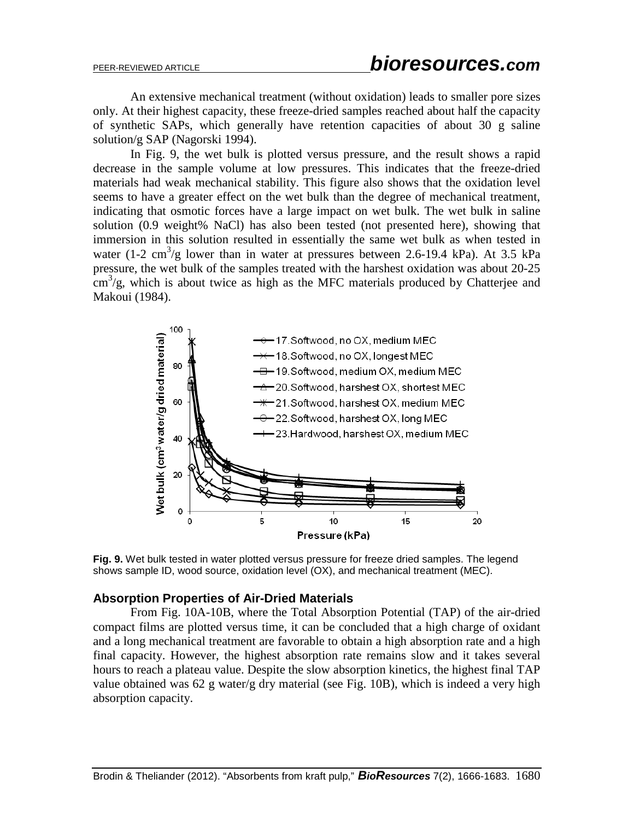An extensive mechanical treatment (without oxidation) leads to smaller pore sizes only. At their highest capacity, these freeze-dried samples reached about half the capacity of synthetic SAPs, which generally have retention capacities of about 30 g saline solution/g SAP (Nagorski 1994).

In Fig. 9, the wet bulk is plotted versus pressure, and the result shows a rapid decrease in the sample volume at low pressures. This indicates that the freeze-dried materials had weak mechanical stability. This figure also shows that the oxidation level seems to have a greater effect on the wet bulk than the degree of mechanical treatment, indicating that osmotic forces have a large impact on wet bulk. The wet bulk in saline solution (0.9 weight% NaCl) has also been tested (not presented here), showing that immersion in this solution resulted in essentially the same wet bulk as when tested in water  $(1-2 \text{ cm}^3/\text{g}$  lower than in water at pressures between 2.6-19.4 kPa). At 3.5 kPa pressure, the wet bulk of the samples treated with the harshest oxidation was about 20-25  $\text{cm}^3/\text{g}$ , which is about twice as high as the MFC materials produced by Chatterjee and Makoui (1984).



**Fig. 9.** Wet bulk tested in water plotted versus pressure for freeze dried samples. The legend shows sample ID, wood source, oxidation level (OX), and mechanical treatment (MEC).

#### **Absorption Properties of Air-Dried Materials**

From Fig. 10A-10B, where the Total Absorption Potential (TAP) of the air-dried compact films are plotted versus time, it can be concluded that a high charge of oxidant and a long mechanical treatment are favorable to obtain a high absorption rate and a high final capacity. However, the highest absorption rate remains slow and it takes several hours to reach a plateau value. Despite the slow absorption kinetics, the highest final TAP value obtained was 62 g water/g dry material (see Fig. 10B), which is indeed a very high absorption capacity.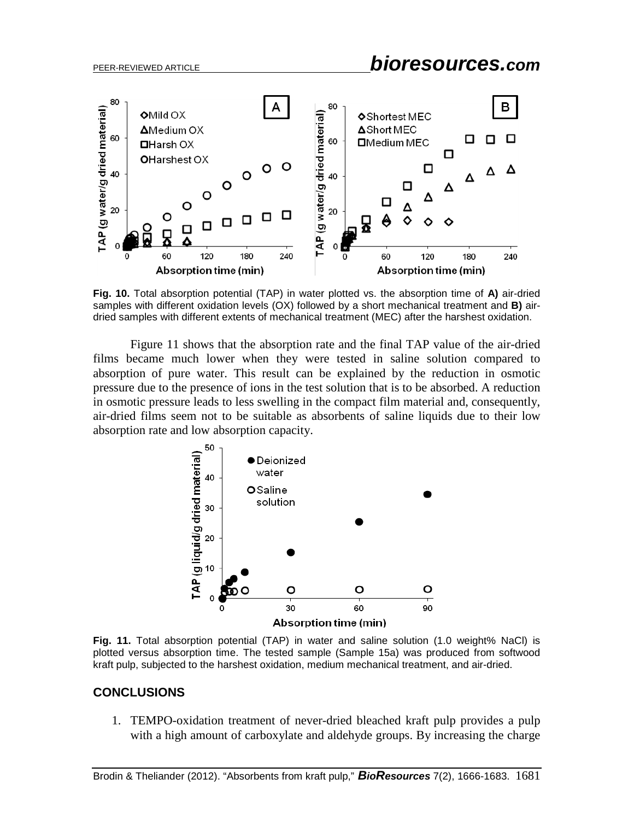

**Fig. 10.** Total absorption potential (TAP) in water plotted vs. the absorption time of **A)** air-dried samples with different oxidation levels (OX) followed by a short mechanical treatment and **B)** airdried samples with different extents of mechanical treatment (MEC) after the harshest oxidation.

Figure 11 shows that the absorption rate and the final TAP value of the air-dried films became much lower when they were tested in saline solution compared to absorption of pure water. This result can be explained by the reduction in osmotic pressure due to the presence of ions in the test solution that is to be absorbed. A reduction in osmotic pressure leads to less swelling in the compact film material and, consequently, air-dried films seem not to be suitable as absorbents of saline liquids due to their low absorption rate and low absorption capacity.



**Fig. 11.** Total absorption potential (TAP) in water and saline solution (1.0 weight% NaCl) is plotted versus absorption time. The tested sample (Sample 15a) was produced from softwood kraft pulp, subjected to the harshest oxidation, medium mechanical treatment, and air-dried.

# **CONCLUSIONS**

1. TEMPO-oxidation treatment of never-dried bleached kraft pulp provides a pulp with a high amount of carboxylate and aldehyde groups. By increasing the charge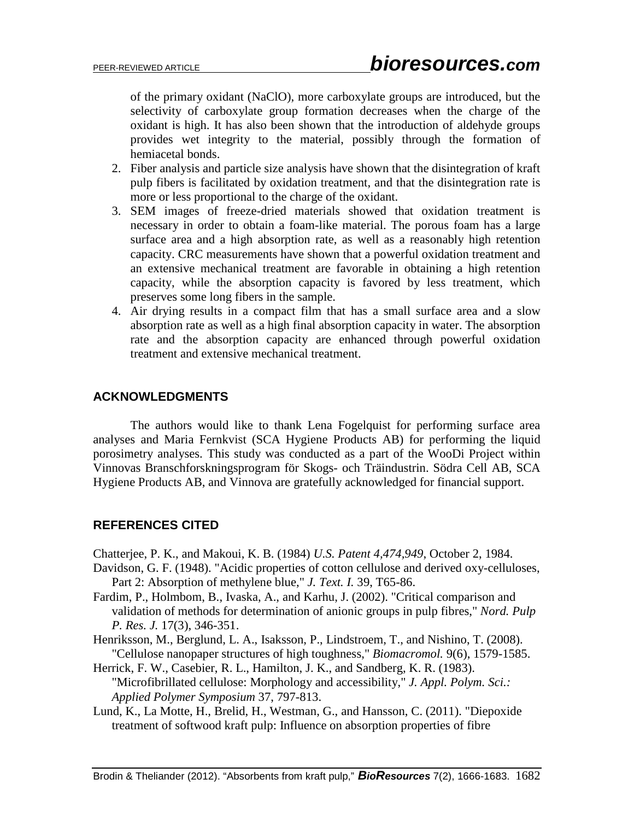of the primary oxidant (NaClO), more carboxylate groups are introduced, but the selectivity of carboxylate group formation decreases when the charge of the oxidant is high. It has also been shown that the introduction of aldehyde groups provides wet integrity to the material, possibly through the formation of hemiacetal bonds.

- 2. Fiber analysis and particle size analysis have shown that the disintegration of kraft pulp fibers is facilitated by oxidation treatment, and that the disintegration rate is more or less proportional to the charge of the oxidant.
- 3. SEM images of freeze-dried materials showed that oxidation treatment is necessary in order to obtain a foam-like material. The porous foam has a large surface area and a high absorption rate, as well as a reasonably high retention capacity. CRC measurements have shown that a powerful oxidation treatment and an extensive mechanical treatment are favorable in obtaining a high retention capacity, while the absorption capacity is favored by less treatment, which preserves some long fibers in the sample.
- 4. Air drying results in a compact film that has a small surface area and a slow absorption rate as well as a high final absorption capacity in water. The absorption rate and the absorption capacity are enhanced through powerful oxidation treatment and extensive mechanical treatment.

# **ACKNOWLEDGMENTS**

The authors would like to thank Lena Fogelquist for performing surface area analyses and Maria Fernkvist (SCA Hygiene Products AB) for performing the liquid porosimetry analyses. This study was conducted as a part of the WooDi Project within Vinnovas Branschforskningsprogram för Skogs- och Träindustrin. Södra Cell AB, SCA Hygiene Products AB, and Vinnova are gratefully acknowledged for financial support.

# **REFERENCES CITED**

- Chatterjee, P. K., and Makoui, K. B. (1984) *U.S. Patent 4,474,949*, October 2, 1984.
- Davidson, G. F. (1948). "Acidic properties of cotton cellulose and derived oxy-celluloses, Part 2: Absorption of methylene blue," *J. Text. I.* 39, T65-86.
- Fardim, P., Holmbom, B., Ivaska, A., and Karhu, J. (2002). "Critical comparison and validation of methods for determination of anionic groups in pulp fibres," *Nord. Pulp P. Res. J.* 17(3), 346-351.
- Henriksson, M., Berglund, L. A., Isaksson, P., Lindstroem, T., and Nishino, T. (2008). "Cellulose nanopaper structures of high toughness," *Biomacromol.* 9(6), 1579-1585.
- Herrick, F. W., Casebier, R. L., Hamilton, J. K., and Sandberg, K. R. (1983). "Microfibrillated cellulose: Morphology and accessibility," *J. Appl. Polym. Sci.: Applied Polymer Symposium* 37, 797-813.
- Lund, K., La Motte, H., Brelid, H., Westman, G., and Hansson, C. (2011). "Diepoxide treatment of softwood kraft pulp: Influence on absorption properties of fibre